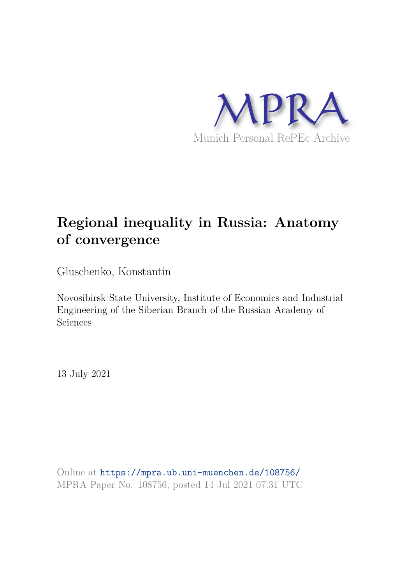

# **Regional inequality in Russia: Anatomy of convergence**

Gluschenko, Konstantin

Novosibirsk State University, Institute of Economics and Industrial Engineering of the Siberian Branch of the Russian Academy of Sciences

13 July 2021

Online at https://mpra.ub.uni-muenchen.de/108756/ MPRA Paper No. 108756, posted 14 Jul 2021 07:31 UTC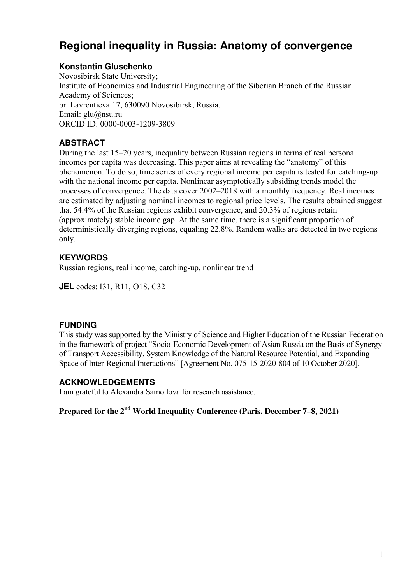## **Regional inequality in Russia: Anatomy of convergence**

## **Konstantin Gluschenko**

Novosibirsk State University; Institute of Economics and Industrial Engineering of the Siberian Branch of the Russian Academy of Sciences; pr. Lavrentieva 17, 630090 Novosibirsk, Russia. Email: glu@nsu.ru ORCID ID: 0000-0003-1209-3809

## **ABSTRACT**

During the last 15–20 years, inequality between Russian regions in terms of real personal incomes per capita was decreasing. This paper aims at revealing the "anatomy" of this phenomenon. To do so, time series of every regional income per capita is tested for catching-up with the national income per capita. Nonlinear asymptotically subsiding trends model the processes of convergence. The data cover 2002–2018 with a monthly frequency. Real incomes are estimated by adjusting nominal incomes to regional price levels. The results obtained suggest that 54.4% of the Russian regions exhibit convergence, and 20.3% of regions retain (approximately) stable income gap. At the same time, there is a significant proportion of deterministically diverging regions, equaling 22.8%. Random walks are detected in two regions only.

## **KEYWORDS**

Russian regions, real income, catching-up, nonlinear trend

**JEL** codes: I31, R11, O18, C32

## **FUNDING**

This study was supported by the Ministry of Science and Higher Education of the Russian Federation in the framework of project "Socio-Economic Development of Asian Russia on the Basis of Synergy of Transport Accessibility, System Knowledge of the Natural Resource Potential, and Expanding Space of Inter-Regional Interactions" [Agreement No. 075-15-2020-804 of 10 October 2020].

### **ACKNOWLEDGEMENTS**

I am grateful to Alexandra Samoilova for research assistance.

**Prepared for the 2nd World Inequality Conference (Paris, December 7–8, 2021)**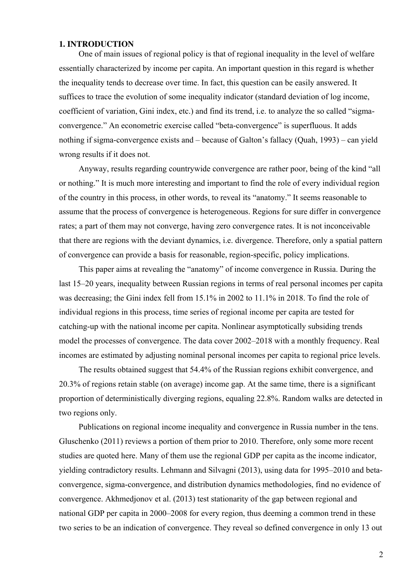#### **1. INTRODUCTION**

One of main issues of regional policy is that of regional inequality in the level of welfare essentially characterized by income per capita. An important question in this regard is whether the inequality tends to decrease over time. In fact, this question can be easily answered. It suffices to trace the evolution of some inequality indicator (standard deviation of log income, coefficient of variation, Gini index, etc.) and find its trend, i.e. to analyze the so called "sigmaconvergence." An econometric exercise called "beta-convergence" is superfluous. It adds nothing if sigma-convergence exists and – because of Galton's fallacy (Quah, 1993) – can yield wrong results if it does not.

Anyway, results regarding countrywide convergence are rather poor, being of the kind "all or nothing." It is much more interesting and important to find the role of every individual region of the country in this process, in other words, to reveal its "anatomy." It seems reasonable to assume that the process of convergence is heterogeneous. Regions for sure differ in convergence rates; a part of them may not converge, having zero convergence rates. It is not inconceivable that there are regions with the deviant dynamics, i.e. divergence. Therefore, only a spatial pattern of convergence can provide a basis for reasonable, region-specific, policy implications.

This paper aims at revealing the "anatomy" of income convergence in Russia. During the last 15–20 years, inequality between Russian regions in terms of real personal incomes per capita was decreasing; the Gini index fell from 15.1% in 2002 to 11.1% in 2018. To find the role of individual regions in this process, time series of regional income per capita are tested for catching-up with the national income per capita. Nonlinear asymptotically subsiding trends model the processes of convergence. The data cover 2002–2018 with a monthly frequency. Real incomes are estimated by adjusting nominal personal incomes per capita to regional price levels.

The results obtained suggest that 54.4% of the Russian regions exhibit convergence, and 20.3% of regions retain stable (on average) income gap. At the same time, there is a significant proportion of deterministically diverging regions, equaling 22.8%. Random walks are detected in two regions only.

Publications on regional income inequality and convergence in Russia number in the tens. Gluschenko (2011) reviews a portion of them prior to 2010. Therefore, only some more recent studies are quoted here. Many of them use the regional GDP per capita as the income indicator, yielding contradictory results. Lehmann and Silvagni (2013), using data for 1995–2010 and betaconvergence, sigma-convergence, and distribution dynamics methodologies, find no evidence of convergence. Akhmedjonov et al. (2013) test stationarity of the gap between regional and national GDP per capita in 2000–2008 for every region, thus deeming a common trend in these two series to be an indication of convergence. They reveal so defined convergence in only 13 out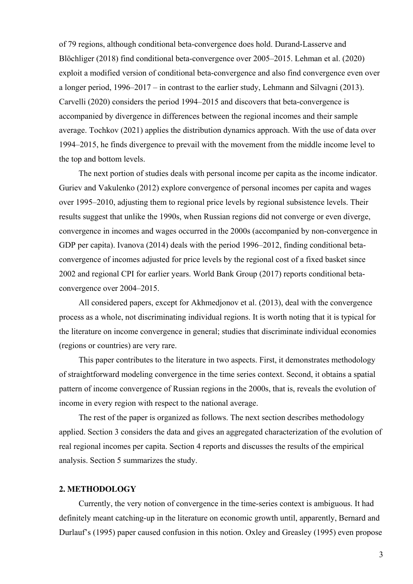of 79 regions, although conditional beta-convergence does hold. Durand-Lasserve and Blöchliger (2018) find conditional beta-convergence over 2005–2015. Lehman et al. (2020) exploit a modified version of conditional beta-convergence and also find convergence even over a longer period, 1996–2017 – in contrast to the earlier study, Lehmann and Silvagni (2013). Carvelli (2020) considers the period 1994–2015 and discovers that beta-convergence is accompanied by divergence in differences between the regional incomes and their sample average. Tochkov (2021) applies the distribution dynamics approach. With the use of data over 1994–2015, he finds divergence to prevail with the movement from the middle income level to the top and bottom levels.

The next portion of studies deals with personal income per capita as the income indicator. Guriev and Vakulenko (2012) explore convergence of personal incomes per capita and wages over 1995–2010, adjusting them to regional price levels by regional subsistence levels. Their results suggest that unlike the 1990s, when Russian regions did not converge or even diverge, convergence in incomes and wages occurred in the 2000s (accompanied by non-convergence in GDP per capita). Ivanova (2014) deals with the period 1996–2012, finding conditional betaconvergence of incomes adjusted for price levels by the regional cost of a fixed basket since 2002 and regional CPI for earlier years. World Bank Group (2017) reports conditional betaconvergence over 2004–2015.

All considered papers, except for Akhmedjonov et al. (2013), deal with the convergence process as a whole, not discriminating individual regions. It is worth noting that it is typical for the literature on income convergence in general; studies that discriminate individual economies (regions or countries) are very rare.

This paper contributes to the literature in two aspects. First, it demonstrates methodology of straightforward modeling convergence in the time series context. Second, it obtains a spatial pattern of income convergence of Russian regions in the 2000s, that is, reveals the evolution of income in every region with respect to the national average.

The rest of the paper is organized as follows. The next section describes methodology applied. Section 3 considers the data and gives an aggregated characterization of the evolution of real regional incomes per capita. Section 4 reports and discusses the results of the empirical analysis. Section 5 summarizes the study.

#### **2. METHODOLOGY**

Currently, the very notion of convergence in the time-series context is ambiguous. It had definitely meant catching-up in the literature on economic growth until, apparently, Bernard and Durlauf's (1995) paper caused confusion in this notion. Oxley and Greasley (1995) even propose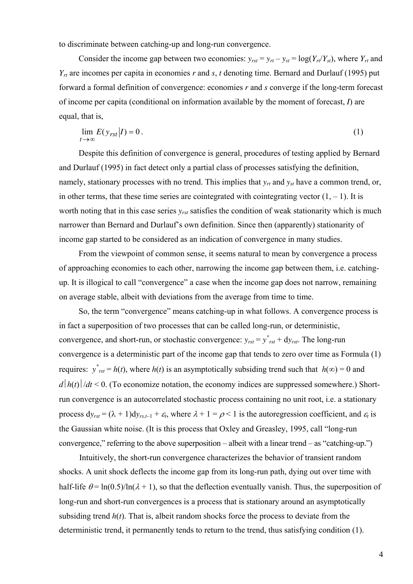to discriminate between catching-up and long-run convergence.

Consider the income gap between two economies:  $y_{rst} = y_{rt} - y_{st} = \log(Y_{rt}/Y_{st})$ , where  $Y_{rt}$  and  $Y_{rt}$  are incomes per capita in economies *r* and *s*, *t* denoting time. Bernard and Durlauf (1995) put forward a formal definition of convergence: economies *r* and *s* converge if the long-term forecast of income per capita (conditional on information available by the moment of forecast, *I*) are equal, that is,

$$
\lim_{t \to \infty} E(y_{rst}|I) = 0. \tag{1}
$$

Despite this definition of convergence is general, procedures of testing applied by Bernard and Durlauf (1995) in fact detect only a partial class of processes satisfying the definition, namely, stationary processes with no trend. This implies that *yrt* and *yst* have a common trend, or, in other terms, that these time series are cointegrated with cointegrating vector  $(1, -1)$ . It is worth noting that in this case series *yrst* satisfies the condition of weak stationarity which is much narrower than Bernard and Durlauf's own definition. Since then (apparently) stationarity of income gap started to be considered as an indication of convergence in many studies.

From the viewpoint of common sense, it seems natural to mean by convergence a process of approaching economies to each other, narrowing the income gap between them, i.e. catchingup. It is illogical to call "convergence" a case when the income gap does not narrow, remaining on average stable, albeit with deviations from the average from time to time.

So, the term "convergence" means catching-up in what follows. A convergence process is in fact a superposition of two processes that can be called long-run, or deterministic, convergence, and short-run, or stochastic convergence:  $y_{rst} = y^*_{rst} + dy_{rst}$ . The long-run convergence is a deterministic part of the income gap that tends to zero over time as Formula (1) requires:  $y^*_{rst} = h(t)$ , where  $h(t)$  is an asymptotically subsiding trend such that  $h(\infty) = 0$  and  $d|h(t)|/dt \leq 0$ . (To economize notation, the economy indices are suppressed somewhere.) Shortrun convergence is an autocorrelated stochastic process containing no unit root, i.e. a stationary process  $dy_{rst} = (\lambda + 1)dy_{rs,t-1} + \varepsilon_t$ , where  $\lambda + 1 = \rho < 1$  is the autoregression coefficient, and  $\varepsilon_t$  is the Gaussian white noise. (It is this process that Oxley and Greasley, 1995, call "long-run convergence," referring to the above superposition – albeit with a linear trend – as "catching-up.")

Intuitively, the short-run convergence characterizes the behavior of transient random shocks. A unit shock deflects the income gap from its long-run path, dying out over time with half-life  $\theta = \ln(0.5)/\ln(\lambda + 1)$ , so that the deflection eventually vanish. Thus, the superposition of long-run and short-run convergences is a process that is stationary around an asymptotically subsiding trend  $h(t)$ . That is, albeit random shocks force the process to deviate from the deterministic trend, it permanently tends to return to the trend, thus satisfying condition (1).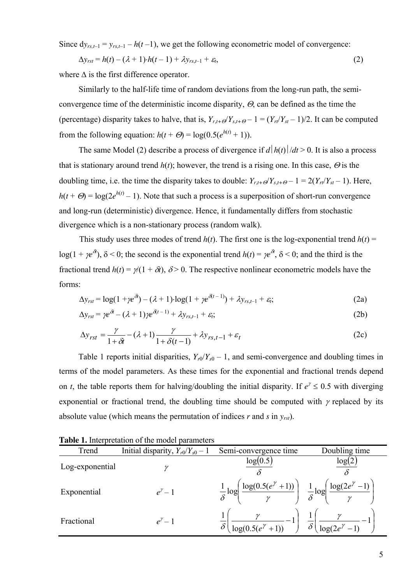Since  $dy_{rs,t-1} = y_{rs,t-1} - h(t-1)$ , we get the following econometric model of convergence:

$$
\Delta y_{rst} = h(t) - (\lambda + 1) \cdot h(t - 1) + \lambda y_{rs, t-1} + \varepsilon_t,
$$
\n(2)

where  $\Delta$  is the first difference operator.

Similarly to the half-life time of random deviations from the long-run path, the semiconvergence time of the deterministic income disparity,  $\Theta$ , can be defined as the time the (percentage) disparity takes to halve, that is,  $Y_{r,t+Q}Y_{s,t+Q} - 1 = (Y_{r}/Y_{st} - 1)/2$ . It can be computed from the following equation:  $h(t + \Theta) = \log(0.5(e^{h(t)} + 1))$ .

The same Model (2) describe a process of divergence if  $d|h(t)|/dt > 0$ . It is also a process that is stationary around trend  $h(t)$ ; however, the trend is a rising one. In this case,  $\Theta$  is the doubling time, i.e. the time the disparity takes to double:  $Y_{r,t+\mathcal{O}}/Y_{s,t+\mathcal{O}} - 1 = 2(Y_{rt}/Y_{st} - 1)$ . Here,  $h(t + \Theta) = \log(2e^{h(t)} - 1)$ . Note that such a process is a superposition of short-run convergence and long-run (deterministic) divergence. Hence, it fundamentally differs from stochastic divergence which is a non-stationary process (random walk).

This study uses three modes of trend  $h(t)$ . The first one is the log-exponential trend  $h(t)$  = log(1 +  $\chi e^{i\theta}$ ),  $\delta$  < 0; the second is the exponential trend *h*(*t*) =  $\chi e^{i\theta}$ ,  $\delta$  < 0; and the third is the fractional trend  $h(t) = \gamma(1 + \delta t)$ ,  $\delta > 0$ . The respective nonlinear econometric models have the forms:

$$
\Delta y_{rst} = \log(1 + \gamma e^{\delta t}) - (\lambda + 1) \cdot \log(1 + \gamma e^{\delta(t-1)}) + \lambda y_{rs,t-1} + \varepsilon_t; \tag{2a}
$$

$$
\Delta y_{rst} = \gamma e^{\delta t} - (\lambda + 1) \gamma e^{\delta (t-1)} + \lambda y_{rs,t-1} + \varepsilon_t; \tag{2b}
$$

$$
\Delta y_{rst} = \frac{\gamma}{1 + \delta t} - (\lambda + 1) \frac{\gamma}{1 + \delta(t - 1)} + \lambda y_{rs, t - 1} + \varepsilon_t
$$
\n(2c)

Table 1 reports initial disparities,  $Y_{r0}/Y_{s0} - 1$ , and semi-convergence and doubling times in terms of the model parameters. As these times for the exponential and fractional trends depend on *t*, the table reports them for halving/doubling the initial disparity. If  $e^{\gamma} \le 0.5$  with diverging exponential or fractional trend, the doubling time should be computed with  $\gamma$  replaced by its absolute value (which means the permutation of indices *r* and *s* in *yrst*).

| Trend           | Initial disparity, $Y_{r0}/Y_{s0} - 1$ | Semi-convergence time                                | Doubling time                         |
|-----------------|----------------------------------------|------------------------------------------------------|---------------------------------------|
| Log-exponential |                                        | log(0.5)                                             | log(2)                                |
| Exponential     | $e^{\gamma}-1$                         | $\log(0.5(e^{\gamma}+1))$<br>$\frac{1}{\delta} \log$ | $\log(2e)$<br>$\frac{1}{\delta} \log$ |
| Fractional      | $e^{\gamma}-1$                         | $\log(0.5(e^{\gamma}+1))$<br>$\delta$                | $\delta'$<br>log(2e)                  |

**Table 1.** Interpretation of the model parameters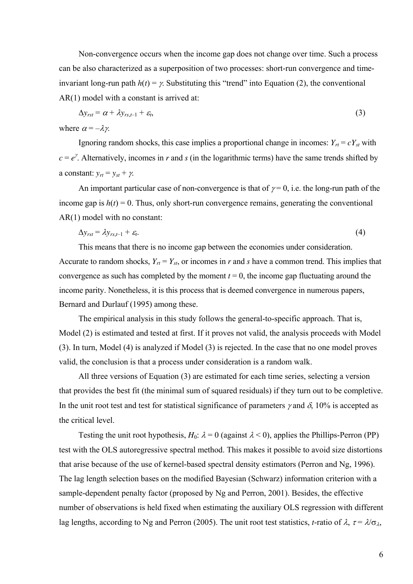Non-convergence occurs when the income gap does not change over time. Such a process can be also characterized as a superposition of two processes: short-run convergence and timeinvariant long-run path  $h(t) = \gamma$ . Substituting this "trend" into Equation (2), the conventional AR(1) model with a constant is arrived at:

$$
\Delta y_{rst} = \alpha + \lambda y_{rs,t-1} + \varepsilon_t, \tag{3}
$$

where  $\alpha = -\lambda \gamma$ .

Ignoring random shocks, this case implies a proportional change in incomes:  $Y_{rt} = cY_{st}$  with  $c = e^{\gamma}$ . Alternatively, incomes in *r* and *s* (in the logarithmic terms) have the same trends shifted by a constant:  $y_{rt} = y_{st} + \gamma$ .

An important particular case of non-convergence is that of  $\gamma = 0$ , i.e. the long-run path of the income gap is  $h(t) = 0$ . Thus, only short-run convergence remains, generating the conventional AR(1) model with no constant:

$$
\Delta y_{rst} = \lambda y_{rs,t-1} + \varepsilon_t. \tag{4}
$$

This means that there is no income gap between the economies under consideration. Accurate to random shocks,  $Y_{rt} = Y_{st}$ , or incomes in *r* and *s* have a common trend. This implies that convergence as such has completed by the moment  $t = 0$ , the income gap fluctuating around the income parity. Nonetheless, it is this process that is deemed convergence in numerous papers, Bernard and Durlauf (1995) among these.

The empirical analysis in this study follows the general-to-specific approach. That is, Model (2) is estimated and tested at first. If it proves not valid, the analysis proceeds with Model (3). In turn, Model (4) is analyzed if Model (3) is rejected. In the case that no one model proves valid, the conclusion is that a process under consideration is a random walk.

All three versions of Equation (3) are estimated for each time series, selecting a version that provides the best fit (the minimal sum of squared residuals) if they turn out to be completive. In the unit root test and test for statistical significance of parameters  $\gamma$  and  $\delta$ , 10% is accepted as the critical level.

Testing the unit root hypothesis,  $H_0$ :  $\lambda = 0$  (against  $\lambda < 0$ ), applies the Phillips-Perron (PP) test with the OLS autoregressive spectral method. This makes it possible to avoid size distortions that arise because of the use of kernel-based spectral density estimators (Perron and Ng, 1996). The lag length selection bases on the modified Bayesian (Schwarz) information criterion with a sample-dependent penalty factor (proposed by Ng and Perron, 2001). Besides, the effective number of observations is held fixed when estimating the auxiliary OLS regression with different lag lengths, according to Ng and Perron (2005). The unit root test statistics, *t*-ratio of  $\lambda$ ,  $\tau = \lambda/\sigma_{\lambda}$ ,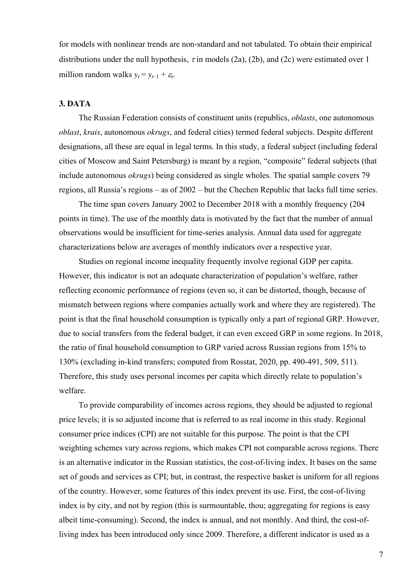for models with nonlinear trends are non-standard and not tabulated. To obtain their empirical distributions under the null hypothesis,  $\tau$  in models (2a), (2b), and (2c) were estimated over 1 million random walks  $y_t = y_{t-1} + \varepsilon_t$ .

#### **3. DATA**

The Russian Federation consists of constituent units (republics, *oblasts*, one autonomous *oblast*, *krais*, autonomous *okrugs*, and federal cities) termed federal subjects. Despite different designations, all these are equal in legal terms. In this study, a federal subject (including federal cities of Moscow and Saint Petersburg) is meant by a region, "composite" federal subjects (that include autonomous *okrugs*) being considered as single wholes. The spatial sample covers 79 regions, all Russia's regions – as of 2002 – but the Chechen Republic that lacks full time series.

The time span covers January 2002 to December 2018 with a monthly frequency (204 points in time). The use of the monthly data is motivated by the fact that the number of annual observations would be insufficient for time-series analysis. Annual data used for aggregate characterizations below are averages of monthly indicators over a respective year.

Studies on regional income inequality frequently involve regional GDP per capita. However, this indicator is not an adequate characterization of population's welfare, rather reflecting economic performance of regions (even so, it can be distorted, though, because of mismatch between regions where companies actually work and where they are registered). The point is that the final household consumption is typically only a part of regional GRP. However, due to social transfers from the federal budget, it can even exceed GRP in some regions. In 2018, the ratio of final household consumption to GRP varied across Russian regions from 15% to 130% (excluding in-kind transfers; computed from Rosstat, 2020, pp. 490-491, 509, 511). Therefore, this study uses personal incomes per capita which directly relate to population's welfare.

To provide comparability of incomes across regions, they should be adjusted to regional price levels; it is so adjusted income that is referred to as real income in this study. Regional consumer price indices (CPI) are not suitable for this purpose. The point is that the CPI weighting schemes vary across regions, which makes CPI not comparable across regions. There is an alternative indicator in the Russian statistics, the cost-of-living index. It bases on the same set of goods and services as CPI; but, in contrast, the respective basket is uniform for all regions of the country. However, some features of this index prevent its use. First, the cost-of-living index is by city, and not by region (this is surmountable, thou; aggregating for regions is easy albeit time-consuming). Second, the index is annual, and not monthly. And third, the cost-ofliving index has been introduced only since 2009. Therefore, a different indicator is used as a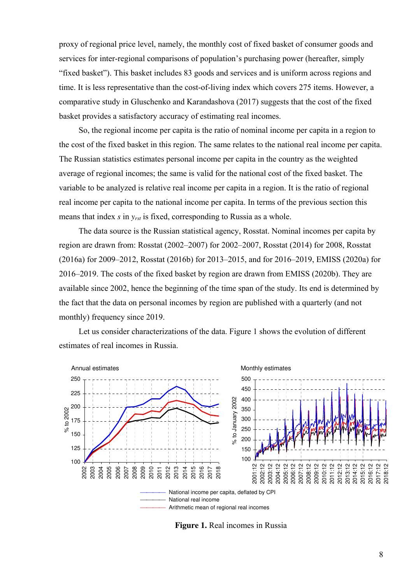proxy of regional price level, namely, the monthly cost of fixed basket of consumer goods and services for inter-regional comparisons of population's purchasing power (hereafter, simply "fixed basket"). This basket includes 83 goods and services and is uniform across regions and time. It is less representative than the cost-of-living index which covers 275 items. However, a comparative study in Gluschenko and Karandashova (2017) suggests that the cost of the fixed basket provides a satisfactory accuracy of estimating real incomes.

So, the regional income per capita is the ratio of nominal income per capita in a region to the cost of the fixed basket in this region. The same relates to the national real income per capita. The Russian statistics estimates personal income per capita in the country as the weighted average of regional incomes; the same is valid for the national cost of the fixed basket. The variable to be analyzed is relative real income per capita in a region. It is the ratio of regional real income per capita to the national income per capita. In terms of the previous section this means that index *s* in *yrst* is fixed, corresponding to Russia as a whole.

The data source is the Russian statistical agency, Rosstat. Nominal incomes per capita by region are drawn from: Rosstat (2002–2007) for 2002–2007, Rosstat (2014) for 2008, Rosstat (2016a) for 2009–2012, Rosstat (2016b) for 2013–2015, and for 2016–2019, EMISS (2020a) for 2016–2019. The costs of the fixed basket by region are drawn from EMISS (2020b). They are available since 2002, hence the beginning of the time span of the study. Its end is determined by the fact that the data on personal incomes by region are published with a quarterly (and not monthly) frequency since 2019.

Let us consider characterizations of the data. Figure 1 shows the evolution of different estimates of real incomes in Russia.



**Figure 1.** Real incomes in Russia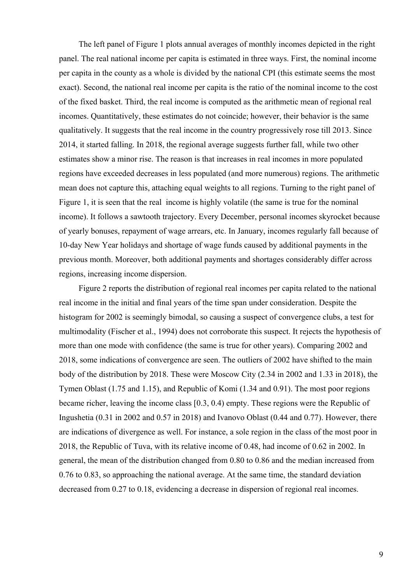The left panel of Figure 1 plots annual averages of monthly incomes depicted in the right panel. The real national income per capita is estimated in three ways. First, the nominal income per capita in the county as a whole is divided by the national CPI (this estimate seems the most exact). Second, the national real income per capita is the ratio of the nominal income to the cost of the fixed basket. Third, the real income is computed as the arithmetic mean of regional real incomes. Quantitatively, these estimates do not coincide; however, their behavior is the same qualitatively. It suggests that the real income in the country progressively rose till 2013. Since 2014, it started falling. In 2018, the regional average suggests further fall, while two other estimates show a minor rise. The reason is that increases in real incomes in more populated regions have exceeded decreases in less populated (and more numerous) regions. The arithmetic mean does not capture this, attaching equal weights to all regions. Turning to the right panel of Figure 1, it is seen that the real income is highly volatile (the same is true for the nominal income). It follows a sawtooth trajectory. Every December, personal incomes skyrocket because of yearly bonuses, repayment of wage arrears, etc. In January, incomes regularly fall because of 10-day New Year holidays and shortage of wage funds caused by additional payments in the previous month. Moreover, both additional payments and shortages considerably differ across regions, increasing income dispersion.

Figure 2 reports the distribution of regional real incomes per capita related to the national real income in the initial and final years of the time span under consideration. Despite the histogram for 2002 is seemingly bimodal, so causing a suspect of convergence clubs, a test for multimodality (Fischer et al., 1994) does not corroborate this suspect. It rejects the hypothesis of more than one mode with confidence (the same is true for other years). Comparing 2002 and 2018, some indications of convergence are seen. The outliers of 2002 have shifted to the main body of the distribution by 2018. These were Moscow City (2.34 in 2002 and 1.33 in 2018), the Tymen Oblast (1.75 and 1.15), and Republic of Komi (1.34 and 0.91). The most poor regions became richer, leaving the income class [0.3, 0.4) empty. These regions were the Republic of Ingushetia (0.31 in 2002 and 0.57 in 2018) and Ivanovo Oblast (0.44 and 0.77). However, there are indications of divergence as well. For instance, a sole region in the class of the most poor in 2018, the Republic of Tuva, with its relative income of 0.48, had income of 0.62 in 2002. In general, the mean of the distribution changed from 0.80 to 0.86 and the median increased from 0.76 to 0.83, so approaching the national average. At the same time, the standard deviation decreased from 0.27 to 0.18, evidencing a decrease in dispersion of regional real incomes.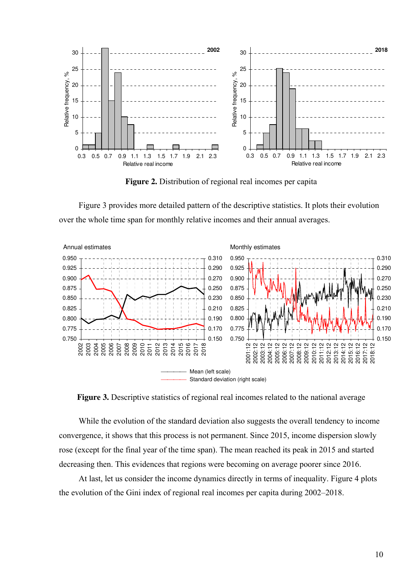

**Figure 2.** Distribution of regional real incomes per capita

Figure 3 provides more detailed pattern of the descriptive statistics. It plots their evolution over the whole time span for monthly relative incomes and their annual averages.



**Figure 3.** Descriptive statistics of regional real incomes related to the national average

While the evolution of the standard deviation also suggests the overall tendency to income convergence, it shows that this process is not permanent. Since 2015, income dispersion slowly rose (except for the final year of the time span). The mean reached its peak in 2015 and started decreasing then. This evidences that regions were becoming on average poorer since 2016.

At last, let us consider the income dynamics directly in terms of inequality. Figure 4 plots the evolution of the Gini index of regional real incomes per capita during 2002–2018.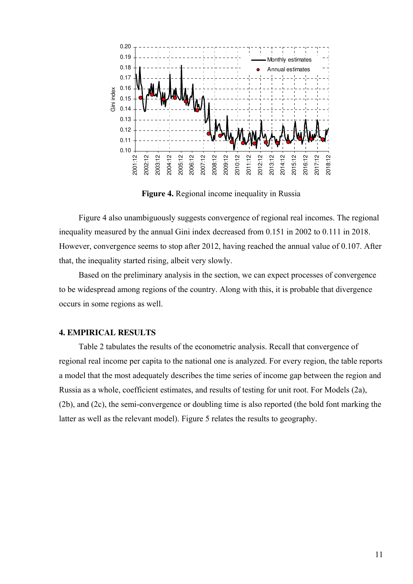

**Figure 4.** Regional income inequality in Russia

Figure 4 also unambiguously suggests convergence of regional real incomes. The regional inequality measured by the annual Gini index decreased from 0.151 in 2002 to 0.111 in 2018. However, convergence seems to stop after 2012, having reached the annual value of 0.107. After that, the inequality started rising, albeit very slowly.

Based on the preliminary analysis in the section, we can expect processes of convergence to be widespread among regions of the country. Along with this, it is probable that divergence occurs in some regions as well.

#### **4. EMPIRICAL RESULTS**

Table 2 tabulates the results of the econometric analysis. Recall that convergence of regional real income per capita to the national one is analyzed. For every region, the table reports a model that the most adequately describes the time series of income gap between the region and Russia as a whole, coefficient estimates, and results of testing for unit root. For Models (2a), (2b), and (2c), the semi-convergence or doubling time is also reported (the bold font marking the latter as well as the relevant model). Figure 5 relates the results to geography.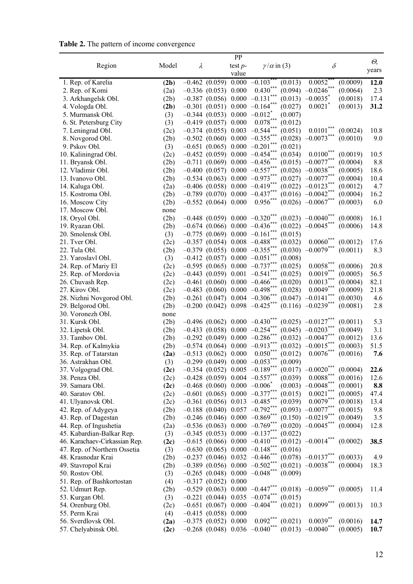**Table 2.** The pattern of income convergence

|                                    | Model        |           |                                                                                 | PP                 |                                                   |         | $\delta$                                                  |                      | $\varTheta_{\!\scriptscriptstyle\gamma}$ |
|------------------------------------|--------------|-----------|---------------------------------------------------------------------------------|--------------------|---------------------------------------------------|---------|-----------------------------------------------------------|----------------------|------------------------------------------|
| Region                             |              | $\lambda$ |                                                                                 | test $p-$<br>value | $\gamma/\alpha$ in (3)                            |         |                                                           |                      | years                                    |
| 1. Rep. of Karelia                 | (2b)         |           | $-0.462(0.059)$                                                                 | 0.000              | $-0.103$                                          | (0.013) | 0.0052                                                    | (0.0009)             | 12.0                                     |
| 2. Rep. of Komi                    | (2a)         |           | $-0.336(0.053)$                                                                 | 0.000              | $0.430***$                                        | (0.094) | $-0.0246^*$                                               | (0.0064)             | 2.3                                      |
| 3. Arkhangelsk Obl.                | (2b)         |           | $-0.387$ (0.056) 0.000                                                          |                    | $-0.131$ ***                                      | (0.013) | $-0.0035$ <sup>*</sup>                                    | (0.0018)             | 17.4                                     |
| 4. Vologda Obl.                    | (2b)         |           |                                                                                 |                    | $-0.301$ (0.051) 0.000 $-0.164$ <sup>**</sup>     | (0.027) | $0.0021$ <sup>*</sup>                                     | (0.0013)             | 31.2                                     |
| 5. Murmansk Obl.                   | (3)          |           | $-0.344(0.053)0.000$                                                            |                    | $-0.012$ <sup>*</sup>                             | (0.007) |                                                           |                      |                                          |
| 6. St. Petersburg City             | (3)          |           | $-0.419$ (0.057) 0.000                                                          |                    | $0.078***$                                        | (0.012) |                                                           |                      |                                          |
| 7. Leningrad Obl.                  | (2c)         |           | $-0.374(0.055)0.003$                                                            |                    | $-0.544$ ***                                      | (0.051) | $0.0101***$                                               | (0.0024)             | 10.8                                     |
| 8. Novgorod Obl.                   | (2b)         |           |                                                                                 |                    | $-0.502$ (0.060) 0.000 $-0.355$ **                | (0.028) | $-0.0073***$                                              | (0.0010)             | 9.0                                      |
| 9. Pskov Obl.                      | (3)          |           |                                                                                 |                    | $-0.651$ (0.065) 0.000 $-0.201$ ***               | (0.021) |                                                           |                      |                                          |
| 10. Kaliningrad Obl.               | (2c)         |           |                                                                                 |                    | $-0.452$ (0.059) 0.000 $-0.454$ ***               | (0.034) | $0.0100$ <sup>**</sup>                                    | (0.0019)             | 10.5                                     |
| 11. Bryansk Obl.                   | (2b)         |           |                                                                                 |                    | $-0.711(0.069)0.000-0.456***$                     |         | $(0.015) -0.0077***$                                      | (0.0004)             | 8.8                                      |
| 12. Vladimir Obl.                  | (2b)         |           |                                                                                 |                    | $-0.400$ (0.057) 0.000 $-0.557***$                |         | $(0.026)$ -0.0038***                                      | (0.0005)             | 18.6                                     |
| 13. Ivanovo Obl.                   | (2b)         |           | $-0.534(0.063)$                                                                 |                    | $0.000 -0.973***$                                 |         | $(0.027)$ -0.0077***                                      | (0.0004)             | 10.4                                     |
| 14. Kaluga Obl.                    | (2a)         |           | $-0.406$ (0.058)                                                                | 0.000              | $-0.419***$                                       |         | $(0.022)$ $-0.0123$ ***                                   | (0.0012)             | 4.7                                      |
| 15. Kostroma Obl.                  | (2b)         |           | $-0.789$ (0.070) 0.000                                                          |                    | $-0.437***$                                       |         | $(0.016) -0.0042$ ***                                     | (0.0004)             | 16.2                                     |
| 16. Moscow City                    | (2b)         |           | $-0.552$ (0.064) 0.000                                                          |                    | $0.956$ ***                                       |         | $(0.026)$ -0.0067 <sup>***</sup>                          | (0.0003)             | 6.0                                      |
| 17. Moscow Obl.                    | none         |           |                                                                                 |                    |                                                   |         |                                                           |                      |                                          |
| 18. Oryol Obl.                     | (2b)         |           | $-0.448$ (0.059) 0.000 $-0.320$ <sup>*</sup>                                    |                    |                                                   |         | $(0.023)$ $-0.0040$ <sup>***</sup>                        | (0.0008)             | 16.1                                     |
| 19. Ryazan Obl.                    | (2b)         |           | $-0.674$ (0.066) 0.000 $-0.436$                                                 |                    |                                                   | (0.022) | $-0.0045$ <sup>*</sup>                                    | (0.0006)             | 14.8                                     |
| 20. Smolensk Obl.                  | (3)          |           |                                                                                 |                    | $-0.775$ (0.069) 0.000 $-0.161$ ***               | (0.015) |                                                           |                      |                                          |
| 21. Tver Obl.                      | (2c)         |           |                                                                                 |                    | $-0.357$ (0.054) 0.008 $-0.488$ ***               | (0.032) | $0.0060$ **                                               | (0.0012)             | 17.6                                     |
| 22. Tula Obl.                      | (2b)         |           |                                                                                 |                    | $-0.379$ (0.055) 0.000 $-0.355$ ***               | (0.030) | $-0.0079$ <sup>*</sup>                                    | (0.0011)             | 8.3                                      |
| 23. Yaroslavl Obl.                 | (3)          |           |                                                                                 |                    | $-0.412$ (0.057) 0.000 $-0.051$ ***               | (0.008) |                                                           |                      |                                          |
| 24. Rep. of Mariy El               | (2c)         |           |                                                                                 |                    | $-0.595$ (0.065) 0.000 $-0.737***$                | (0.025) | $0.0058***$                                               | (0.0006)             | 20.8                                     |
| 25. Rep. of Mordovia               | (2c)         |           |                                                                                 |                    | $-0.443$ (0.059) 0.001 $-0.541$ ***               | (0.025) | $0.0019***$                                               | (0.0005)             | 56.5                                     |
| 26. Chuvash Rep.                   | (2c)         |           | $-0.461(0.060)$                                                                 |                    | $0.000 -0.466$                                    | (0.020) | $0.0013***$                                               | (0.0004)             | 82.1                                     |
| 27. Kirov Obl.                     | (2c)         |           |                                                                                 |                    | $-0.483$ (0.060) 0.000 $-0.498$ ***               | (0.028) | $0.0049***$                                               | (0.0009)             | 21.8                                     |
| 28. Nizhni Novgorod Obl.           | (2b)         |           |                                                                                 |                    | $-0.261$ (0.047) 0.004 $-0.306$ <sup>**</sup>     | (0.047) | $-0.0141$ ***                                             | (0.0030)             | 4.6                                      |
| 29. Belgorod Obl.                  | (2b)         |           |                                                                                 |                    | $-0.200$ $(0.042)$ $0.098$ $-0.425$ <sup>**</sup> |         | $(0.116) -0.0239$ ***                                     | (0.0081)             | 2.8                                      |
| 30. Voronezh Obl.                  | none         |           |                                                                                 |                    |                                                   |         |                                                           |                      | 5.3                                      |
| 31. Kursk Obl.<br>32. Lipetsk Obl. | (2b)<br>(2b) |           | $-0.496$ (0.062) 0.000 $-0.430$<br>$-0.433$ (0.058) 0.000 $-0.254$ <sup>*</sup> |                    |                                                   |         | $(0.025)$ -0.0127 <sup>*</sup><br>$(0.045)$ $-0.0203$ *** | (0.0011)<br>(0.0049) | 3.1                                      |
| 33. Tambov Obl.                    | (2b)         |           | $-0.292(0.049)0.000$                                                            |                    | $-0.286$ ***                                      |         | $(0.032)$ $-0.0047$ ***                                   | (0.0012)             | 13.6                                     |
| 34. Rep. of Kalmykia               | (2b)         |           | $-0.574(0.064)0.000$                                                            |                    | $-0.913***$                                       |         | $(0.032)$ -0.0015***                                      | (0.0003)             | 51.5                                     |
| 35. Rep. of Tatarstan              | (2a)         |           | $-0.513$ $(0.062)$ 0.000                                                        |                    | $0.050***$                                        | (0.012) | $0.0076^{\degree}$                                        | (0.0016)             | 7.6                                      |
| 36. Astrakhan Obl.                 | (3)          |           | $-0.299(0.049)0.000$                                                            |                    | $-0.053***$                                       | (0.009) |                                                           |                      |                                          |
| 37. Volgograd Obl.                 | (2c)         |           | $-0.354$ (0.052) 0.005 $-0.189$                                                 |                    |                                                   |         | $(0.017)$ -0.0020 <sup>'</sup>                            | (0.0004)             | 22.6                                     |
| 38. Penza Obl.                     | (2c)         |           |                                                                                 |                    | $-0.428$ (0.059) 0.004 $-0.557***$                | (0.039) | $0.0088^{\ast\ast\ast}$                                   | (0.0016)             | 12.6                                     |
| 39. Samara Obl.                    | (2c)         |           |                                                                                 |                    | $-0.468$ (0.060) 0.000 $-0.006$ <sup>*</sup>      | (0.003) | $-0.0048$ ***                                             | (0.0001)             | 8.8                                      |
| 40. Saratov Obl.                   | (2c)         |           |                                                                                 |                    | $-0.601$ (0.065) 0.000 $-0.377$ ***               | (0.015) | $0.0021***$                                               | (0.0005)             | 47.4                                     |
| 41. Ulyanovsk Obl.                 | (2c)         |           |                                                                                 |                    | $-0.361$ (0.056) 0.013 $-0.485***$                | (0.039) | $0.0079***$                                               | (0.0018)             | 13.4                                     |
| 42. Rep. of Adygeya                | (2b)         |           |                                                                                 |                    | $-0.188$ (0.040) 0.057 $-0.792***$                |         | $(0.093)$ -0.0077***                                      | (0.0015)             | 9.8                                      |
| 43. Rep. of Dagestan               | (2b)         |           |                                                                                 |                    | $-0.246$ (0.046) 0.000 $-0.869$ <sup>**</sup>     |         | $(0.150)$ $-0.0219$ ***                                   | (0.0049)             | 3.5                                      |
| 44. Rep. of Ingushetia             | (2a)         |           |                                                                                 |                    | $-0.536$ (0.063) 0.000 $-0.769$ ***               |         | $(0.020)$ $-0.0045$ ***                                   | (0.0004)             | 12.8                                     |
| 45. Kabardian-Balkar Rep.          | (3)          |           |                                                                                 |                    | $-0.345$ (0.053) 0.000 $-0.137***$                | (0.022) |                                                           |                      |                                          |
| 46. Karachaev-Cirkassian Rep.      | (2c)         |           |                                                                                 |                    | $-0.615$ (0.066) 0.000 $-0.410$ ***               |         | $(0.012)$ $-0.0014$ <sup>***</sup>                        | (0.0002)             | 38.5                                     |
| 47. Rep. of Northern Ossetia       | (3)          |           |                                                                                 |                    | $-0.630$ (0.065) 0.000 $-0.148***$                | (0.016) |                                                           |                      |                                          |
| 48. Krasnodar Krai                 | (2b)         |           |                                                                                 |                    | $-0.237$ (0.046) 0.032 $-0.446$ ***               |         | $(0.078)$ -0.0137***                                      | (0.0033)             | 4.9                                      |
| 49. Stavropol Krai                 | (2b)         |           |                                                                                 |                    | $-0.389$ (0.056) 0.000 $-0.502***$                |         | $(0.021)$ -0.0038***                                      | (0.0004)             | 18.3                                     |
| 50. Rostov Obl.                    | (3)          |           |                                                                                 |                    | $-0.265$ (0.048) 0.000 $-0.048$ ***               | (0.009) |                                                           |                      |                                          |
| 51. Rep. of Bashkortostan          | (4)          |           | $-0.317(0.052)0.000$                                                            |                    |                                                   |         |                                                           |                      |                                          |
| 52. Udmurt Rep.                    | (2b)         |           |                                                                                 |                    | $-0.529$ (0.063) 0.000 $-0.447***$                |         | $(0.018)$ $-0.0059$ ***                                   | (0.0005)             | 11.4                                     |
| 53. Kurgan Obl.                    | (3)          |           |                                                                                 |                    | $-0.221$ (0.044) 0.035 $-0.074$ ***               | (0.015) |                                                           |                      |                                          |
| 54. Orenburg Obl.                  | (2c)         |           |                                                                                 |                    | $-0.651(0.067)0.000-0.404***$                     | (0.021) | $0.0099***$                                               | (0.0013)             | 10.3                                     |
| 55. Perm Krai                      | (4)          |           | $-0.415(0.058)0.000$                                                            |                    |                                                   |         |                                                           |                      |                                          |
| 56. Sverdlovsk Obl.                | (2a)         |           | $-0.375$ (0.052) 0.000                                                          |                    | $0.092***$                                        | (0.021) | $0.0039**$                                                | (0.0016)             | 14.7                                     |
| 57. Chelyabinsk Obl.               | (2c)         |           |                                                                                 |                    | $-0.268$ (0.048) 0.036 $-0.040$ ***               |         | $(0.013) -0.0040$ ***                                     | (0.0005)             | 10.7                                     |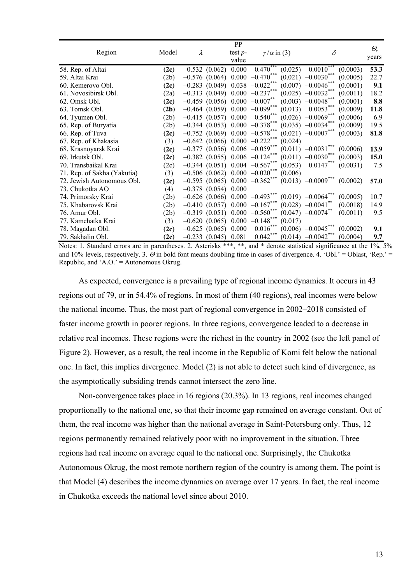|                             |       |   |                          | PP        |                                                |         |                                   |          |       |
|-----------------------------|-------|---|--------------------------|-----------|------------------------------------------------|---------|-----------------------------------|----------|-------|
| Region                      | Model | λ |                          | test $p-$ | $\gamma/\alpha$ in (3)                         |         | $\delta$                          |          | Θ,    |
|                             |       |   |                          | value     |                                                |         |                                   |          | years |
| 58. Rep. of Altai           | (2c)  |   |                          |           | $-0.532$ (0.062) 0.000 $-0.470$ <sup>**</sup>  |         | $(0.025)$ $-0.0010$ <sup>**</sup> | (0.0003) | 53.3  |
| 59. Altai Krai              | (2b)  |   |                          |           | $-0.576$ (0.064) 0.000 $-0.470***$             |         | $(0.021)$ $-0.0030$ ***           | (0.0005) | 22.7  |
| 60. Kemerovo Obl.           | (2c)  |   |                          |           | $-0.283$ (0.049) 0.038 $-0.022$ <sup>**</sup>  |         | $(0.007)$ -0.0046***              | (0.0001) | 9.1   |
| 61. Novosibirsk Obl.        | (2a)  |   |                          |           | $-0.313$ (0.049) 0.000 $-0.237$                |         | $(0.025)$ $-0.0032$ ***           | (0.0011) | 18.2  |
| 62. Omsk Obl.               | (2c)  |   |                          |           | $-0.459$ (0.056) 0.000 $-0.007$ <sup>**</sup>  |         | $(0.003)$ -0.0048***              | (0.0001) | 8.8   |
| 63. Tomsk Obl.              | (2b)  |   | $-0.464$ (0.059) 0.000   |           | $-0.099***$                                    | (0.013) | $0.0053$ **                       | (0.0009) | 11.8  |
| 64. Tyumen Obl.             | (2b)  |   | $-0.415$ (0.057) 0.000   |           | $0.540***$                                     |         | $(0.026)$ -0.0069***              | (0.0006) | 6.9   |
| 65. Rep. of Buryatia        | (2b)  |   |                          |           | $-0.344$ (0.053) 0.000 $-0.378***$             |         | $(0.035)$ $-0.0034$ ***           | (0.0009) | 19.5  |
| 66. Rep. of Tuva            | (2c)  |   |                          |           | $-0.752$ (0.069) 0.000 $-0.578***$             |         | $(0.021)$ -0.0007***              | (0.0003) | 81.8  |
| 67. Rep. of Khakasia        | (3)   |   |                          |           | $-0.642$ (0.066) 0.000 $-0.222$ <sup>***</sup> | (0.024) |                                   |          |       |
| 68. Krasnoyarsk Krai        | (2c)  |   |                          |           | $-0.377$ (0.056) 0.006 $-0.059$ <sup>**</sup>  |         | $(0.011) -0.0031$ ***             | (0.0006) | 13.9  |
| 69. Irkutsk Obl.            | (2c)  |   |                          |           | $-0.382$ (0.055) 0.006 $-0.124$ <sup>**</sup>  | (0.011) | $-0.0030$ ***                     | (0.0003) | 15.0  |
| 70. Transbaikal Krai        | (2c)  |   |                          |           | $-0.344$ (0.051) 0.004 $-0.567$ ***            | (0.053) | $0.0147***$                       | (0.0031) | 7.5   |
| 71. Rep. of Sakha (Yakutia) | (3)   |   |                          |           | $-0.506$ (0.062) 0.000 $-0.020$ ***            | (0.006) |                                   |          |       |
| 72. Jewish Autonomous Obl.  | (2c)  |   |                          |           | $-0.595$ (0.065) 0.000 $-0.362***$             |         | $(0.013) -0.0009$ ***             | (0.0002) | 57.0  |
| 73. Chukotka AO             | (4)   |   | $-0.378$ (0.054) 0.000   |           |                                                |         |                                   |          |       |
| 74. Primorsky Krai          | (2b)  |   |                          |           | $-0.626$ (0.066) 0.000 $-0.493$ <sup>**</sup>  |         | $(0.019)$ $-0.0064$ <sup>**</sup> | (0.0005) | 10.7  |
| 75. Khabarovsk Krai         | (2b)  |   |                          |           | $-0.410$ (0.057) 0.000 $-0.167$ ***            |         | $(0.028) -0.0041$ **              | (0.0018) | 14.9  |
| 76. Amur Obl.               | (2b)  |   |                          |           | $-0.319$ (0.051) 0.000 $-0.560***$             |         | $(0.047)$ -0.0074**               | (0.0011) | 9.5   |
| 77. Kamchatka Krai          | (3)   |   | $-0.620(0.065)0.000$     |           | $-0.148$ ***                                   | (0.017) |                                   |          |       |
| 78. Magadan Obl.            | (2c)  |   | $-0.625$ (0.065) 0.000   |           | $0.016^*$                                      |         | $(0.006)$ $-0.0045$               | (0.0002) | 9.1   |
| 79. Sakhalin Obl.           | (2c)  |   | $-0.233$ $(0.045)$ 0.081 |           | $0.042***$                                     | (0.014) | $-0.0042$ ***                     | (0.0004) | 9.7   |

Notes: 1. Standard errors are in parentheses. 2. Asterisks \*\*\*, \*\*, and \* denote statistical significance at the 1%, 5% and 10% levels, respectively. 3.  $\Theta$  in bold font means doubling time in cases of divergence. 4. 'Obl.' = Oblast, 'Rep.' = Republic, and 'A.O.' = Autonomous Okrug.

As expected, convergence is a prevailing type of regional income dynamics. It occurs in 43 regions out of 79, or in 54.4% of regions. In most of them (40 regions), real incomes were below the national income. Thus, the most part of regional convergence in 2002–2018 consisted of faster income growth in poorer regions. In three regions, convergence leaded to a decrease in relative real incomes. These regions were the richest in the country in 2002 (see the left panel of Figure 2). However, as a result, the real income in the Republic of Komi felt below the national one. In fact, this implies divergence. Model (2) is not able to detect such kind of divergence, as the asymptotically subsiding trends cannot intersect the zero line.

Non-convergence takes place in 16 regions (20.3%). In 13 regions, real incomes changed proportionally to the national one, so that their income gap remained on average constant. Out of them, the real income was higher than the national average in Saint-Petersburg only. Thus, 12 regions permanently remained relatively poor with no improvement in the situation. Three regions had real income on average equal to the national one. Surprisingly, the Chukotka Autonomous Okrug, the most remote northern region of the country is among them. The point is that Model (4) describes the income dynamics on average over 17 years. In fact, the real income in Chukotka exceeds the national level since about 2010.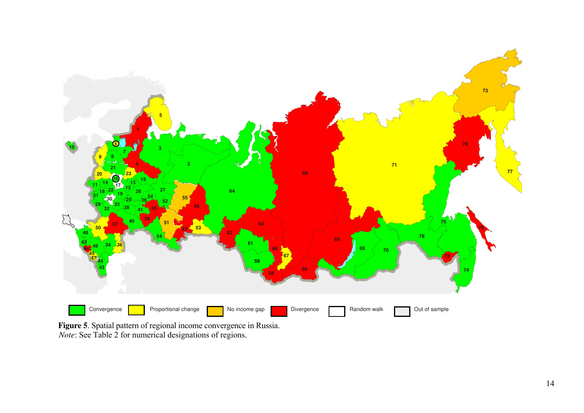

**Figure 5**. Spatial pattern of regional income convergence in Russia. *Note*: See Table 2 for numerical designations of regions.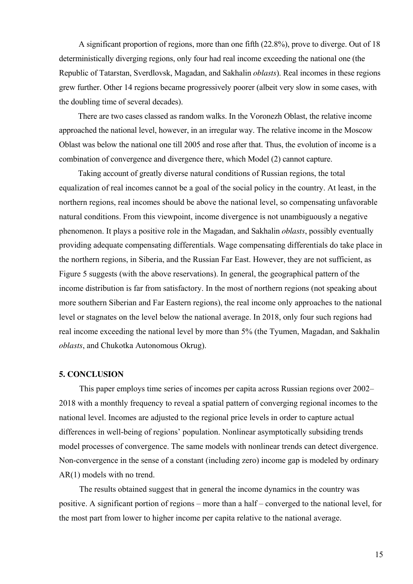A significant proportion of regions, more than one fifth (22.8%), prove to diverge. Out of 18 deterministically diverging regions, only four had real income exceeding the national one (the Republic of Tatarstan, Sverdlovsk, Magadan, and Sakhalin *oblasts*). Real incomes in these regions grew further. Other 14 regions became progressively poorer (albeit very slow in some cases, with the doubling time of several decades).

There are two cases classed as random walks. In the Voronezh Oblast, the relative income approached the national level, however, in an irregular way. The relative income in the Moscow Oblast was below the national one till 2005 and rose after that. Thus, the evolution of income is a combination of convergence and divergence there, which Model (2) cannot capture.

Taking account of greatly diverse natural conditions of Russian regions, the total equalization of real incomes cannot be a goal of the social policy in the country. At least, in the northern regions, real incomes should be above the national level, so compensating unfavorable natural conditions. From this viewpoint, income divergence is not unambiguously a negative phenomenon. It plays a positive role in the Magadan, and Sakhalin *oblasts*, possibly eventually providing adequate compensating differentials. Wage compensating differentials do take place in the northern regions, in Siberia, and the Russian Far East. However, they are not sufficient, as Figure 5 suggests (with the above reservations). In general, the geographical pattern of the income distribution is far from satisfactory. In the most of northern regions (not speaking about more southern Siberian and Far Eastern regions), the real income only approaches to the national level or stagnates on the level below the national average. In 2018, only four such regions had real income exceeding the national level by more than 5% (the Tyumen, Magadan, and Sakhalin *oblasts*, and Chukotka Autonomous Okrug).

#### **5. CONCLUSION**

This paper employs time series of incomes per capita across Russian regions over 2002– 2018 with a monthly frequency to reveal a spatial pattern of converging regional incomes to the national level. Incomes are adjusted to the regional price levels in order to capture actual differences in well-being of regions' population. Nonlinear asymptotically subsiding trends model processes of convergence. The same models with nonlinear trends can detect divergence. Non-convergence in the sense of a constant (including zero) income gap is modeled by ordinary AR(1) models with no trend.

The results obtained suggest that in general the income dynamics in the country was positive. A significant portion of regions – more than a half – converged to the national level, for the most part from lower to higher income per capita relative to the national average.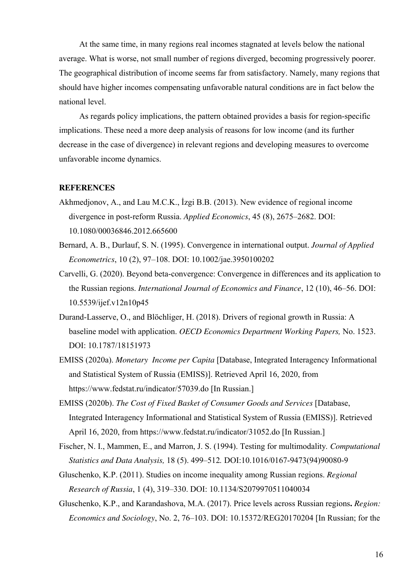At the same time, in many regions real incomes stagnated at levels below the national average. What is worse, not small number of regions diverged, becoming progressively poorer. The geographical distribution of income seems far from satisfactory. Namely, many regions that should have higher incomes compensating unfavorable natural conditions are in fact below the national level.

As regards policy implications, the pattern obtained provides a basis for region-specific implications. These need a more deep analysis of reasons for low income (and its further decrease in the case of divergence) in relevant regions and developing measures to overcome unfavorable income dynamics.

#### **REFERENCES**

- Akhmedjonov, A., and Lau M.C.K., İzgi B.B. (2013). New evidence of regional income divergence in post-reform Russia. *Applied Economics*, 45 (8), 2675–2682. DOI: 10.1080/00036846.2012.665600
- Bernard, A. B., Durlauf, S. N. (1995). Convergence in international output. *Journal of Applied Econometrics*, 10 (2), 97–108. DOI: 10.1002/jae.3950100202
- Carvelli, G. (2020). Beyond beta-convergence: Convergence in differences and its application to the Russian regions. *International Journal of Economics and Finance*, 12 (10), 46–56. DOI: 10.5539/ijef.v12n10p45
- Durand-Lasserve, O., and Blöchliger, H. (2018). Drivers of regional growth in Russia: A baseline model with application. *OECD Economics Department Working Papers,* No. 1523. DOI: 10.1787/18151973
- EMISS (2020a). *Monetary Income per Capita* [Database, Integrated Interagency Informational and Statistical System of Russia (EMISS)]. Retrieved April 16, 2020, from https://www.fedstat.ru/indicator/57039.do [In Russian.]
- EMISS (2020b). *The Cost of Fixed Basket of Consumer Goods and Services* [Database, Integrated Interagency Informational and Statistical System of Russia (EMISS)]. Retrieved April 16, 2020, from https://www.fedstat.ru/indicator/31052.do [In Russian.]
- Fischer, N. I., Mammen, E., and Marron, J. S. (1994). Testing for multimodality*. Computational Statistics and Data Analysis,* 18 (5). 499–512*.* DOI:10.1016/0167-9473(94)90080-9
- Gluschenko, K.P. (2011). Studies on income inequality among Russian regions. *Regional Research of Russia*, 1 (4), 319–330. DOI: 10.1134/S2079970511040034
- Gluschenko, K.P., and Karandashova, M.A. (2017). Price levels across Russian regions**.** *Region: Economics and Sociology*, No. 2, 76–103. DOI: 10.15372/REG20170204 [In Russian; for the